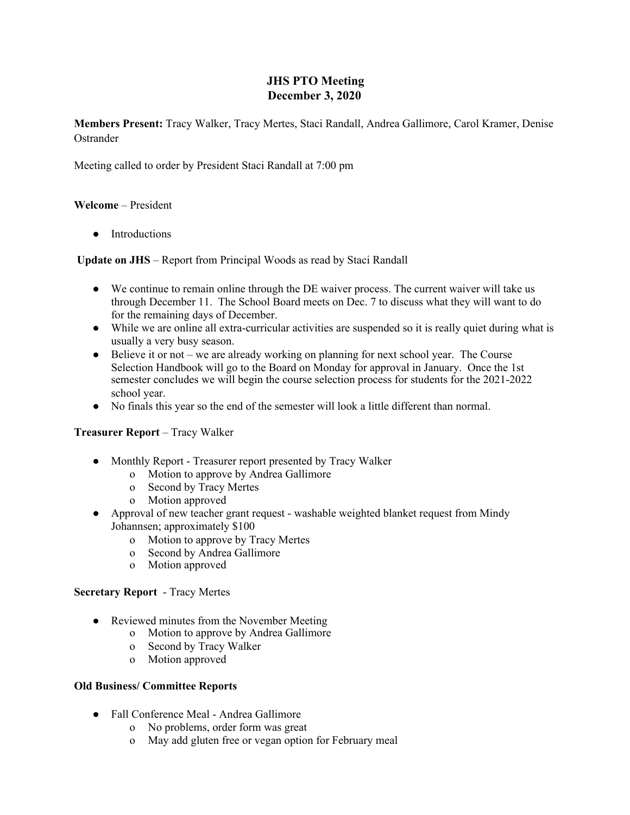# **JHS PTO Meeting December 3, 2020**

**Members Present:** Tracy Walker, Tracy Mertes, Staci Randall, Andrea Gallimore, Carol Kramer, Denise **Ostrander** 

Meeting called to order by President Staci Randall at 7:00 pm

## **Welcome** – President

• Introductions

**Update on JHS** – Report from Principal Woods as read by Staci Randall

- We continue to remain online through the DE waiver process. The current waiver will take us through December 11. The School Board meets on Dec. 7 to discuss what they will want to do for the remaining days of December.
- While we are online all extra-curricular activities are suspended so it is really quiet during what is usually a very busy season.
- Believe it or not we are already working on planning for next school year. The Course Selection Handbook will go to the Board on Monday for approval in January. Once the 1st semester concludes we will begin the course selection process for students for the 2021-2022 school year.
- No finals this year so the end of the semester will look a little different than normal.

#### **Treasurer Report** – Tracy Walker

- Monthly Report Treasurer report presented by Tracy Walker
	- o Motion to approve by Andrea Gallimore
	- o Second by Tracy Mertes
	- o Motion approved
- Approval of new teacher grant request washable weighted blanket request from Mindy Johannsen; approximately \$100
	- o Motion to approve by Tracy Mertes
	- o Second by Andrea Gallimore
	- o Motion approved

#### **Secretary Report** - Tracy Mertes

- Reviewed minutes from the November Meeting
	- o Motion to approve by Andrea Gallimore
	- o Second by Tracy Walker
	- o Motion approved

#### **Old Business/ Committee Reports**

- **●** Fall Conference Meal Andrea Gallimore
	- o No problems, order form was great
	- o May add gluten free or vegan option for February meal